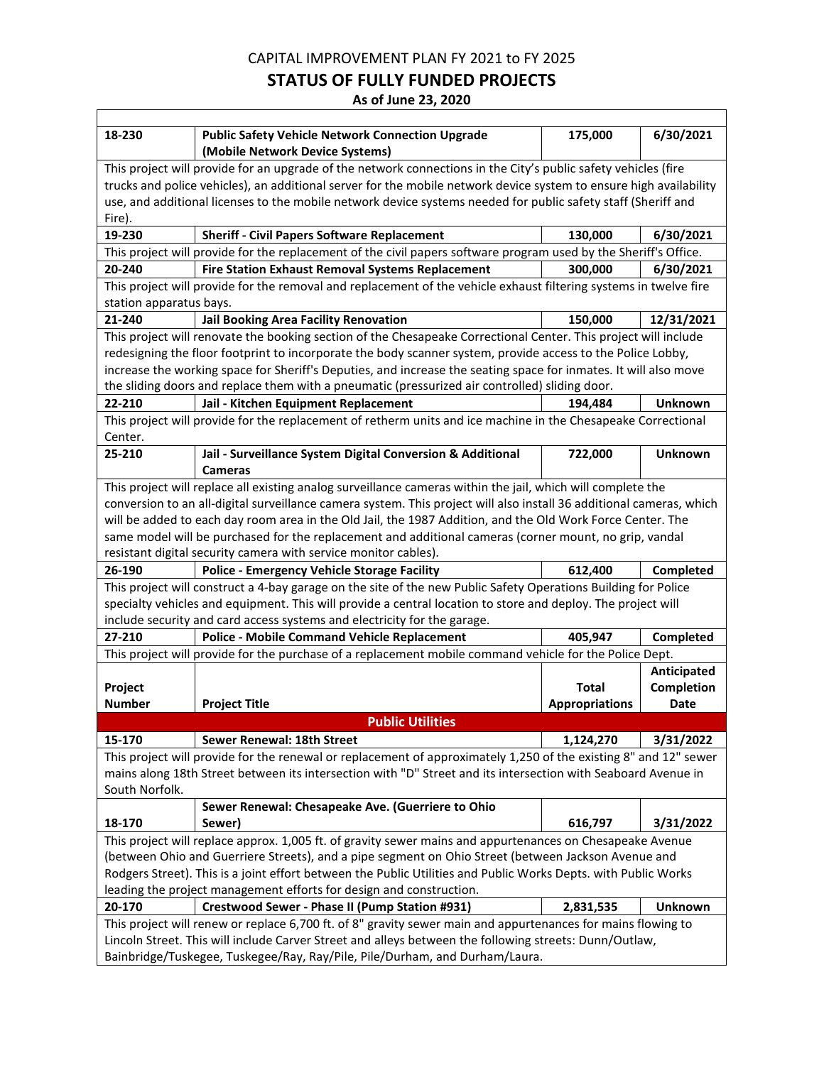### **STATUS OF FULLY FUNDED PROJECTS**

**As of June 23, 2020**

| 18-230                                                                                                         | <b>Public Safety Vehicle Network Connection Upgrade</b><br>(Mobile Network Device Systems)                           | 175,000               | 6/30/2021         |
|----------------------------------------------------------------------------------------------------------------|----------------------------------------------------------------------------------------------------------------------|-----------------------|-------------------|
|                                                                                                                | This project will provide for an upgrade of the network connections in the City's public safety vehicles (fire       |                       |                   |
|                                                                                                                | trucks and police vehicles), an additional server for the mobile network device system to ensure high availability   |                       |                   |
|                                                                                                                | use, and additional licenses to the mobile network device systems needed for public safety staff (Sheriff and        |                       |                   |
| Fire).                                                                                                         |                                                                                                                      |                       |                   |
| 19-230                                                                                                         | <b>Sheriff - Civil Papers Software Replacement</b>                                                                   | 130,000               | 6/30/2021         |
|                                                                                                                | This project will provide for the replacement of the civil papers software program used by the Sheriff's Office.     |                       |                   |
| 20-240                                                                                                         | <b>Fire Station Exhaust Removal Systems Replacement</b>                                                              | 300,000               | 6/30/2021         |
|                                                                                                                | This project will provide for the removal and replacement of the vehicle exhaust filtering systems in twelve fire    |                       |                   |
| station apparatus bays.                                                                                        |                                                                                                                      |                       |                   |
| 21-240                                                                                                         | Jail Booking Area Facility Renovation                                                                                | 150,000               | 12/31/2021        |
|                                                                                                                | This project will renovate the booking section of the Chesapeake Correctional Center. This project will include      |                       |                   |
|                                                                                                                | redesigning the floor footprint to incorporate the body scanner system, provide access to the Police Lobby,          |                       |                   |
|                                                                                                                | increase the working space for Sheriff's Deputies, and increase the seating space for inmates. It will also move     |                       |                   |
|                                                                                                                | the sliding doors and replace them with a pneumatic (pressurized air controlled) sliding door.                       |                       |                   |
| 22-210                                                                                                         | Jail - Kitchen Equipment Replacement                                                                                 | 194,484               | <b>Unknown</b>    |
| Center.                                                                                                        | This project will provide for the replacement of retherm units and ice machine in the Chesapeake Correctional        |                       |                   |
| 25-210                                                                                                         | Jail - Surveillance System Digital Conversion & Additional                                                           | 722,000               | <b>Unknown</b>    |
|                                                                                                                | <b>Cameras</b>                                                                                                       |                       |                   |
|                                                                                                                | This project will replace all existing analog surveillance cameras within the jail, which will complete the          |                       |                   |
|                                                                                                                | conversion to an all-digital surveillance camera system. This project will also install 36 additional cameras, which |                       |                   |
|                                                                                                                | will be added to each day room area in the Old Jail, the 1987 Addition, and the Old Work Force Center. The           |                       |                   |
|                                                                                                                | same model will be purchased for the replacement and additional cameras (corner mount, no grip, vandal               |                       |                   |
|                                                                                                                | resistant digital security camera with service monitor cables).                                                      |                       |                   |
| 26-190                                                                                                         | <b>Police - Emergency Vehicle Storage Facility</b>                                                                   | 612,400               | Completed         |
| This project will construct a 4-bay garage on the site of the new Public Safety Operations Building for Police |                                                                                                                      |                       |                   |
|                                                                                                                | specialty vehicles and equipment. This will provide a central location to store and deploy. The project will         |                       |                   |
|                                                                                                                | include security and card access systems and electricity for the garage.                                             |                       |                   |
| 27-210                                                                                                         | <b>Police - Mobile Command Vehicle Replacement</b>                                                                   | 405,947               | Completed         |
|                                                                                                                | This project will provide for the purchase of a replacement mobile command vehicle for the Police Dept.              |                       |                   |
|                                                                                                                |                                                                                                                      |                       | Anticipated       |
| Project                                                                                                        |                                                                                                                      | <b>Total</b>          | <b>Completion</b> |
| <b>Number</b>                                                                                                  | <b>Project Title</b>                                                                                                 | <b>Appropriations</b> | Date              |
|                                                                                                                | <b>Public Utilities</b>                                                                                              |                       |                   |
| 15-170                                                                                                         | Sewer Renewal: 18th Street                                                                                           | 1,124,270             | 3/31/2022         |
|                                                                                                                | This project will provide for the renewal or replacement of approximately 1,250 of the existing 8" and 12" sewer     |                       |                   |
|                                                                                                                | mains along 18th Street between its intersection with "D" Street and its intersection with Seaboard Avenue in        |                       |                   |
| South Norfolk.                                                                                                 |                                                                                                                      |                       |                   |
|                                                                                                                | Sewer Renewal: Chesapeake Ave. (Guerriere to Ohio                                                                    |                       |                   |
| 18-170                                                                                                         | Sewer)                                                                                                               | 616,797               | 3/31/2022         |
| This project will replace approx. 1,005 ft. of gravity sewer mains and appurtenances on Chesapeake Avenue      |                                                                                                                      |                       |                   |
|                                                                                                                | (between Ohio and Guerriere Streets), and a pipe segment on Ohio Street (between Jackson Avenue and                  |                       |                   |
| Rodgers Street). This is a joint effort between the Public Utilities and Public Works Depts. with Public Works |                                                                                                                      |                       |                   |
| leading the project management efforts for design and construction.                                            |                                                                                                                      |                       |                   |
| 20-170                                                                                                         | Crestwood Sewer - Phase II (Pump Station #931)                                                                       | 2,831,535             | <b>Unknown</b>    |
|                                                                                                                | This project will renew or replace 6,700 ft. of 8" gravity sewer main and appurtenances for mains flowing to         |                       |                   |
|                                                                                                                | Lincoln Street. This will include Carver Street and alleys between the following streets: Dunn/Outlaw,               |                       |                   |
| Bainbridge/Tuskegee, Tuskegee/Ray, Ray/Pile, Pile/Durham, and Durham/Laura.                                    |                                                                                                                      |                       |                   |

 $\overline{\Gamma}$ 

٦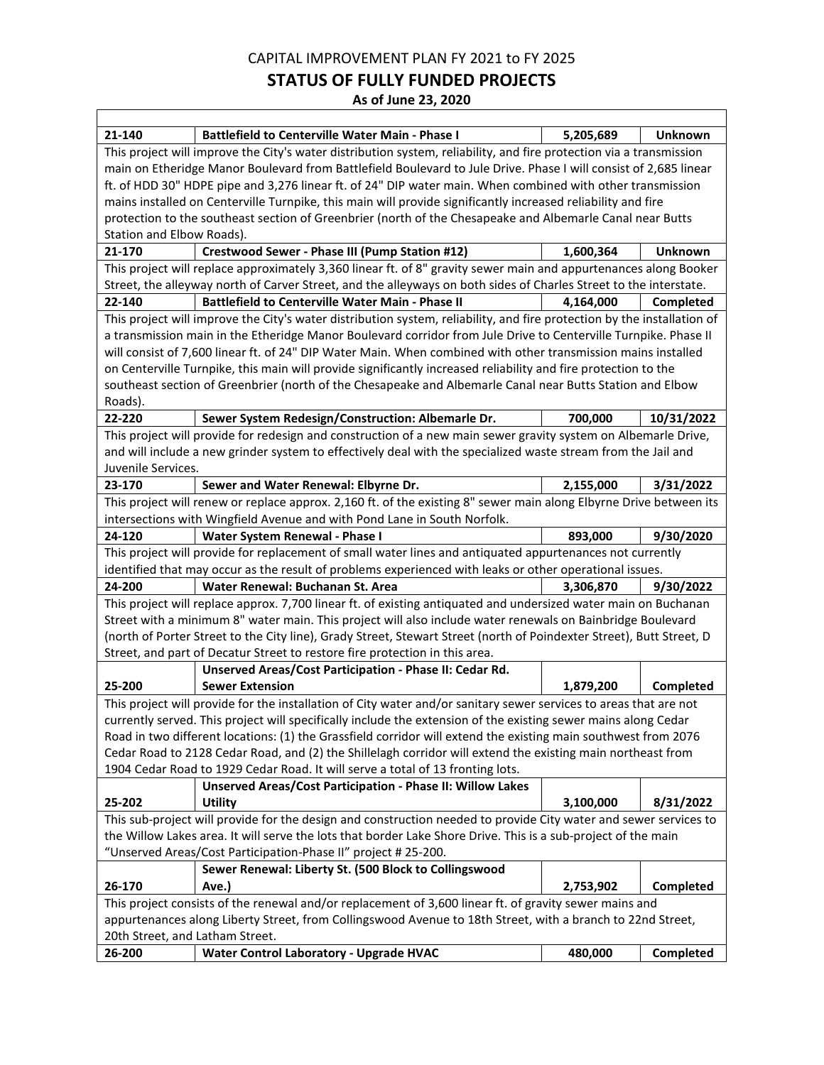### **STATUS OF FULLY FUNDED PROJECTS**

**As of June 23, 2020**

| 21-140                                                                                                               | <b>Battlefield to Centerville Water Main - Phase I</b>                                                                  | 5,205,689 | Unknown        |  |
|----------------------------------------------------------------------------------------------------------------------|-------------------------------------------------------------------------------------------------------------------------|-----------|----------------|--|
|                                                                                                                      | This project will improve the City's water distribution system, reliability, and fire protection via a transmission     |           |                |  |
|                                                                                                                      | main on Etheridge Manor Boulevard from Battlefield Boulevard to Jule Drive. Phase I will consist of 2,685 linear        |           |                |  |
|                                                                                                                      | ft. of HDD 30" HDPE pipe and 3,276 linear ft. of 24" DIP water main. When combined with other transmission              |           |                |  |
|                                                                                                                      | mains installed on Centerville Turnpike, this main will provide significantly increased reliability and fire            |           |                |  |
|                                                                                                                      | protection to the southeast section of Greenbrier (north of the Chesapeake and Albemarle Canal near Butts               |           |                |  |
| Station and Elbow Roads).                                                                                            |                                                                                                                         |           |                |  |
| 21-170                                                                                                               | <b>Crestwood Sewer - Phase III (Pump Station #12)</b>                                                                   | 1,600,364 | <b>Unknown</b> |  |
|                                                                                                                      | This project will replace approximately 3,360 linear ft. of 8" gravity sewer main and appurtenances along Booker        |           |                |  |
|                                                                                                                      | Street, the alleyway north of Carver Street, and the alleyways on both sides of Charles Street to the interstate.       |           |                |  |
| 22-140                                                                                                               | <b>Battlefield to Centerville Water Main - Phase II</b>                                                                 | 4,164,000 | Completed      |  |
|                                                                                                                      | This project will improve the City's water distribution system, reliability, and fire protection by the installation of |           |                |  |
|                                                                                                                      | a transmission main in the Etheridge Manor Boulevard corridor from Jule Drive to Centerville Turnpike. Phase II         |           |                |  |
|                                                                                                                      | will consist of 7,600 linear ft. of 24" DIP Water Main. When combined with other transmission mains installed           |           |                |  |
|                                                                                                                      | on Centerville Turnpike, this main will provide significantly increased reliability and fire protection to the          |           |                |  |
|                                                                                                                      | southeast section of Greenbrier (north of the Chesapeake and Albemarle Canal near Butts Station and Elbow               |           |                |  |
| Roads).                                                                                                              |                                                                                                                         |           |                |  |
| 22-220                                                                                                               | Sewer System Redesign/Construction: Albemarle Dr.                                                                       | 700,000   | 10/31/2022     |  |
|                                                                                                                      | This project will provide for redesign and construction of a new main sewer gravity system on Albemarle Drive,          |           |                |  |
|                                                                                                                      | and will include a new grinder system to effectively deal with the specialized waste stream from the Jail and           |           |                |  |
| Juvenile Services.                                                                                                   |                                                                                                                         |           |                |  |
| 23-170                                                                                                               | Sewer and Water Renewal: Elbyrne Dr.                                                                                    | 2,155,000 | 3/31/2022      |  |
|                                                                                                                      | This project will renew or replace approx. 2,160 ft. of the existing 8" sewer main along Elbyrne Drive between its      |           |                |  |
|                                                                                                                      | intersections with Wingfield Avenue and with Pond Lane in South Norfolk.                                                |           |                |  |
| 24-120                                                                                                               | Water System Renewal - Phase I                                                                                          | 893,000   | 9/30/2020      |  |
| This project will provide for replacement of small water lines and antiquated appurtenances not currently            |                                                                                                                         |           |                |  |
| identified that may occur as the result of problems experienced with leaks or other operational issues.              |                                                                                                                         |           |                |  |
| 24-200                                                                                                               | Water Renewal: Buchanan St. Area                                                                                        | 3,306,870 | 9/30/2022      |  |
| This project will replace approx. 7,700 linear ft. of existing antiquated and undersized water main on Buchanan      |                                                                                                                         |           |                |  |
|                                                                                                                      | Street with a minimum 8" water main. This project will also include water renewals on Bainbridge Boulevard              |           |                |  |
| (north of Porter Street to the City line), Grady Street, Stewart Street (north of Poindexter Street), Butt Street, D |                                                                                                                         |           |                |  |
|                                                                                                                      |                                                                                                                         |           |                |  |
|                                                                                                                      | Street, and part of Decatur Street to restore fire protection in this area.                                             |           |                |  |
|                                                                                                                      | Unserved Areas/Cost Participation - Phase II: Cedar Rd.                                                                 |           |                |  |
| 25-200                                                                                                               | <b>Sewer Extension</b>                                                                                                  | 1,879,200 | Completed      |  |
|                                                                                                                      | This project will provide for the installation of City water and/or sanitary sewer services to areas that are not       |           |                |  |
|                                                                                                                      | currently served. This project will specifically include the extension of the existing sewer mains along Cedar          |           |                |  |
|                                                                                                                      | Road in two different locations: (1) the Grassfield corridor will extend the existing main southwest from 2076          |           |                |  |
|                                                                                                                      | Cedar Road to 2128 Cedar Road, and (2) the Shillelagh corridor will extend the existing main northeast from             |           |                |  |
|                                                                                                                      | 1904 Cedar Road to 1929 Cedar Road. It will serve a total of 13 fronting lots.                                          |           |                |  |
|                                                                                                                      | <b>Unserved Areas/Cost Participation - Phase II: Willow Lakes</b>                                                       |           |                |  |
| 25-202                                                                                                               | <b>Utility</b>                                                                                                          | 3,100,000 | 8/31/2022      |  |
|                                                                                                                      | This sub-project will provide for the design and construction needed to provide City water and sewer services to        |           |                |  |
|                                                                                                                      | the Willow Lakes area. It will serve the lots that border Lake Shore Drive. This is a sub-project of the main           |           |                |  |
|                                                                                                                      | "Unserved Areas/Cost Participation-Phase II" project # 25-200.                                                          |           |                |  |
|                                                                                                                      | Sewer Renewal: Liberty St. (500 Block to Collingswood                                                                   |           |                |  |
| 26-170                                                                                                               | Ave.)                                                                                                                   | 2,753,902 | Completed      |  |
|                                                                                                                      | This project consists of the renewal and/or replacement of 3,600 linear ft. of gravity sewer mains and                  |           |                |  |
|                                                                                                                      | appurtenances along Liberty Street, from Collingswood Avenue to 18th Street, with a branch to 22nd Street,              |           |                |  |
| 20th Street, and Latham Street.<br>26-200                                                                            | <b>Water Control Laboratory - Upgrade HVAC</b>                                                                          | 480,000   | Completed      |  |

 $\Gamma$ 

٦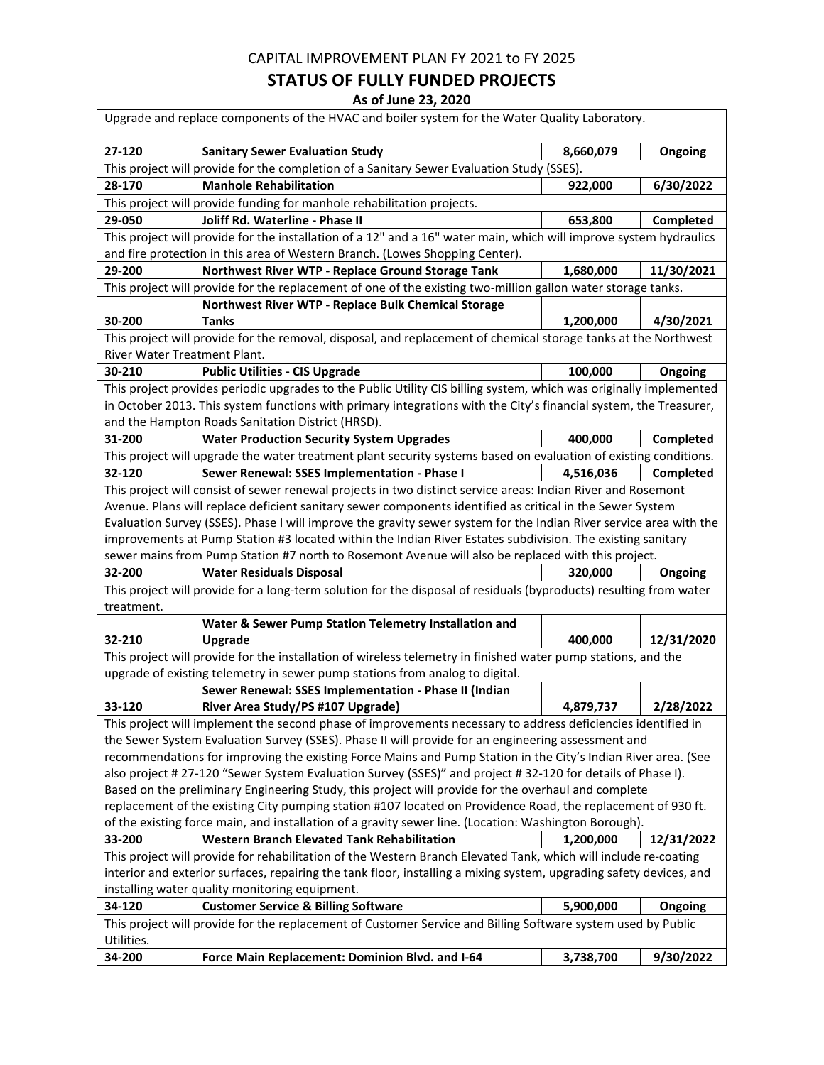## **STATUS OF FULLY FUNDED PROJECTS**

| Upgrade and replace components of the HVAC and boiler system for the Water Quality Laboratory.                                                                                                                                         |                                                                                                                    |           |            |  |
|----------------------------------------------------------------------------------------------------------------------------------------------------------------------------------------------------------------------------------------|--------------------------------------------------------------------------------------------------------------------|-----------|------------|--|
| 27-120                                                                                                                                                                                                                                 | <b>Sanitary Sewer Evaluation Study</b>                                                                             | 8,660,079 | Ongoing    |  |
|                                                                                                                                                                                                                                        | This project will provide for the completion of a Sanitary Sewer Evaluation Study (SSES).                          |           |            |  |
| 28-170                                                                                                                                                                                                                                 | <b>Manhole Rehabilitation</b>                                                                                      | 922,000   | 6/30/2022  |  |
|                                                                                                                                                                                                                                        | This project will provide funding for manhole rehabilitation projects.                                             |           |            |  |
| 29-050                                                                                                                                                                                                                                 | Joliff Rd. Waterline - Phase II                                                                                    | 653,800   | Completed  |  |
|                                                                                                                                                                                                                                        | This project will provide for the installation of a 12" and a 16" water main, which will improve system hydraulics |           |            |  |
|                                                                                                                                                                                                                                        | and fire protection in this area of Western Branch. (Lowes Shopping Center).                                       |           |            |  |
| 29-200                                                                                                                                                                                                                                 | Northwest River WTP - Replace Ground Storage Tank                                                                  | 1,680,000 | 11/30/2021 |  |
|                                                                                                                                                                                                                                        | This project will provide for the replacement of one of the existing two-million gallon water storage tanks.       |           |            |  |
|                                                                                                                                                                                                                                        | Northwest River WTP - Replace Bulk Chemical Storage                                                                |           |            |  |
| 30-200                                                                                                                                                                                                                                 | <b>Tanks</b>                                                                                                       | 1,200,000 | 4/30/2021  |  |
|                                                                                                                                                                                                                                        | This project will provide for the removal, disposal, and replacement of chemical storage tanks at the Northwest    |           |            |  |
| River Water Treatment Plant.                                                                                                                                                                                                           |                                                                                                                    |           |            |  |
| 30-210                                                                                                                                                                                                                                 | <b>Public Utilities - CIS Upgrade</b>                                                                              | 100,000   | Ongoing    |  |
|                                                                                                                                                                                                                                        | This project provides periodic upgrades to the Public Utility CIS billing system, which was originally implemented |           |            |  |
|                                                                                                                                                                                                                                        | in October 2013. This system functions with primary integrations with the City's financial system, the Treasurer,  |           |            |  |
|                                                                                                                                                                                                                                        | and the Hampton Roads Sanitation District (HRSD).                                                                  |           |            |  |
| 31-200                                                                                                                                                                                                                                 | <b>Water Production Security System Upgrades</b>                                                                   | 400,000   | Completed  |  |
|                                                                                                                                                                                                                                        | This project will upgrade the water treatment plant security systems based on evaluation of existing conditions.   |           |            |  |
| 32-120                                                                                                                                                                                                                                 | Sewer Renewal: SSES Implementation - Phase I                                                                       | 4,516,036 | Completed  |  |
|                                                                                                                                                                                                                                        | This project will consist of sewer renewal projects in two distinct service areas: Indian River and Rosemont       |           |            |  |
|                                                                                                                                                                                                                                        | Avenue. Plans will replace deficient sanitary sewer components identified as critical in the Sewer System          |           |            |  |
|                                                                                                                                                                                                                                        | Evaluation Survey (SSES). Phase I will improve the gravity sewer system for the Indian River service area with the |           |            |  |
|                                                                                                                                                                                                                                        | improvements at Pump Station #3 located within the Indian River Estates subdivision. The existing sanitary         |           |            |  |
|                                                                                                                                                                                                                                        | sewer mains from Pump Station #7 north to Rosemont Avenue will also be replaced with this project.                 |           |            |  |
| 32-200                                                                                                                                                                                                                                 | <b>Water Residuals Disposal</b>                                                                                    | 320,000   | Ongoing    |  |
| This project will provide for a long-term solution for the disposal of residuals (byproducts) resulting from water                                                                                                                     |                                                                                                                    |           |            |  |
| treatment.                                                                                                                                                                                                                             |                                                                                                                    |           |            |  |
|                                                                                                                                                                                                                                        | Water & Sewer Pump Station Telemetry Installation and                                                              |           |            |  |
| 32-210                                                                                                                                                                                                                                 | Upgrade                                                                                                            | 400,000   | 12/31/2020 |  |
|                                                                                                                                                                                                                                        | This project will provide for the installation of wireless telemetry in finished water pump stations, and the      |           |            |  |
|                                                                                                                                                                                                                                        | upgrade of existing telemetry in sewer pump stations from analog to digital.                                       |           |            |  |
|                                                                                                                                                                                                                                        | Sewer Renewal: SSES Implementation - Phase II (Indian                                                              |           |            |  |
| 33-120                                                                                                                                                                                                                                 | River Area Study/PS #107 Upgrade)                                                                                  | 4,879,737 | 2/28/2022  |  |
|                                                                                                                                                                                                                                        | This project will implement the second phase of improvements necessary to address deficiencies identified in       |           |            |  |
|                                                                                                                                                                                                                                        | the Sewer System Evaluation Survey (SSES). Phase II will provide for an engineering assessment and                 |           |            |  |
|                                                                                                                                                                                                                                        | recommendations for improving the existing Force Mains and Pump Station in the City's Indian River area. (See      |           |            |  |
|                                                                                                                                                                                                                                        | also project # 27-120 "Sewer System Evaluation Survey (SSES)" and project # 32-120 for details of Phase I).        |           |            |  |
| Based on the preliminary Engineering Study, this project will provide for the overhaul and complete                                                                                                                                    |                                                                                                                    |           |            |  |
| replacement of the existing City pumping station #107 located on Providence Road, the replacement of 930 ft.                                                                                                                           |                                                                                                                    |           |            |  |
| of the existing force main, and installation of a gravity sewer line. (Location: Washington Borough).                                                                                                                                  |                                                                                                                    |           |            |  |
| 33-200                                                                                                                                                                                                                                 | <b>Western Branch Elevated Tank Rehabilitation</b>                                                                 | 1,200,000 | 12/31/2022 |  |
| This project will provide for rehabilitation of the Western Branch Elevated Tank, which will include re-coating<br>interior and exterior surfaces, repairing the tank floor, installing a mixing system, upgrading safety devices, and |                                                                                                                    |           |            |  |
|                                                                                                                                                                                                                                        | installing water quality monitoring equipment.                                                                     |           |            |  |
| 34-120                                                                                                                                                                                                                                 | <b>Customer Service &amp; Billing Software</b>                                                                     | 5,900,000 | Ongoing    |  |
|                                                                                                                                                                                                                                        |                                                                                                                    |           |            |  |
| This project will provide for the replacement of Customer Service and Billing Software system used by Public<br>Utilities.                                                                                                             |                                                                                                                    |           |            |  |
| 34-200                                                                                                                                                                                                                                 | Force Main Replacement: Dominion Blvd. and I-64                                                                    | 3,738,700 | 9/30/2022  |  |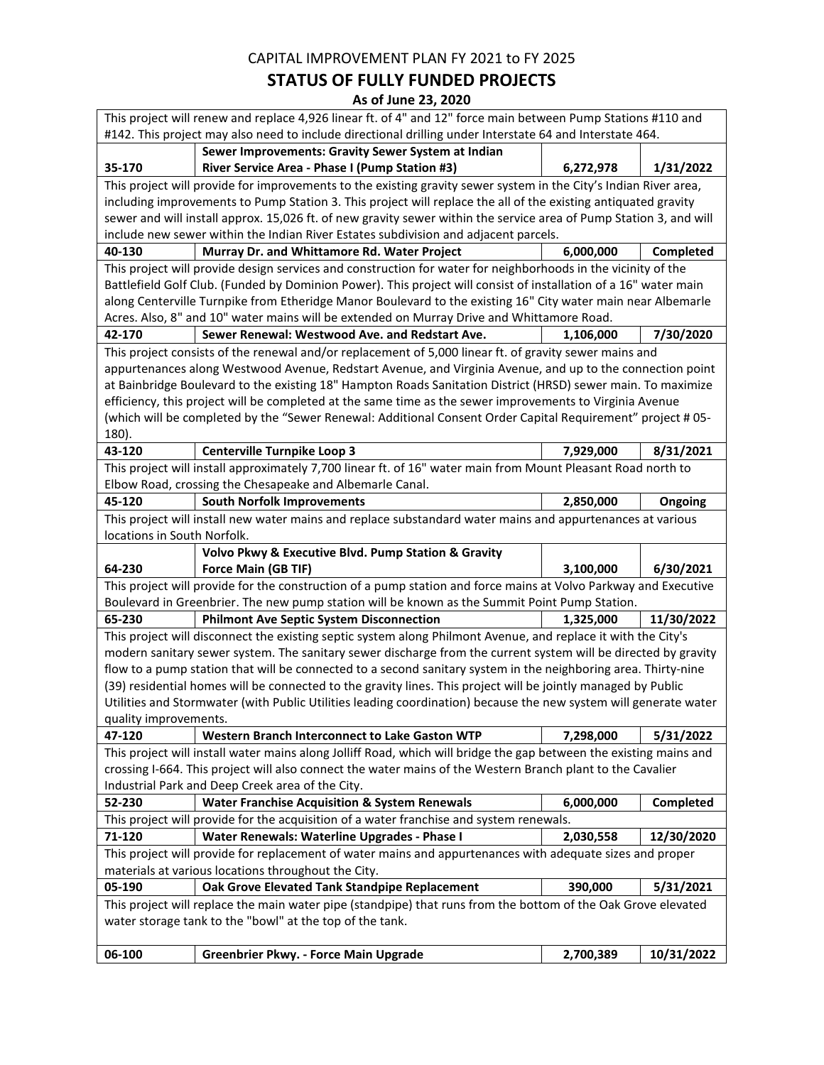## **STATUS OF FULLY FUNDED PROJECTS**

| This project will renew and replace 4,926 linear ft. of 4" and 12" force main between Pump Stations #110 and<br>#142. This project may also need to include directional drilling under Interstate 64 and Interstate 464. |                                                                                                                    |           |            |  |
|--------------------------------------------------------------------------------------------------------------------------------------------------------------------------------------------------------------------------|--------------------------------------------------------------------------------------------------------------------|-----------|------------|--|
|                                                                                                                                                                                                                          | Sewer Improvements: Gravity Sewer System at Indian                                                                 |           |            |  |
| 35-170                                                                                                                                                                                                                   | River Service Area - Phase I (Pump Station #3)                                                                     | 6,272,978 | 1/31/2022  |  |
|                                                                                                                                                                                                                          | This project will provide for improvements to the existing gravity sewer system in the City's Indian River area,   |           |            |  |
|                                                                                                                                                                                                                          | including improvements to Pump Station 3. This project will replace the all of the existing antiquated gravity     |           |            |  |
|                                                                                                                                                                                                                          | sewer and will install approx. 15,026 ft. of new gravity sewer within the service area of Pump Station 3, and will |           |            |  |
|                                                                                                                                                                                                                          | include new sewer within the Indian River Estates subdivision and adjacent parcels.                                |           |            |  |
| 40-130                                                                                                                                                                                                                   | Murray Dr. and Whittamore Rd. Water Project                                                                        | 6,000,000 | Completed  |  |
|                                                                                                                                                                                                                          | This project will provide design services and construction for water for neighborhoods in the vicinity of the      |           |            |  |
|                                                                                                                                                                                                                          | Battlefield Golf Club. (Funded by Dominion Power). This project will consist of installation of a 16" water main   |           |            |  |
|                                                                                                                                                                                                                          | along Centerville Turnpike from Etheridge Manor Boulevard to the existing 16" City water main near Albemarle       |           |            |  |
|                                                                                                                                                                                                                          | Acres. Also, 8" and 10" water mains will be extended on Murray Drive and Whittamore Road.                          |           |            |  |
| 42-170                                                                                                                                                                                                                   | Sewer Renewal: Westwood Ave. and Redstart Ave.                                                                     | 1,106,000 | 7/30/2020  |  |
|                                                                                                                                                                                                                          | This project consists of the renewal and/or replacement of 5,000 linear ft. of gravity sewer mains and             |           |            |  |
|                                                                                                                                                                                                                          | appurtenances along Westwood Avenue, Redstart Avenue, and Virginia Avenue, and up to the connection point          |           |            |  |
|                                                                                                                                                                                                                          | at Bainbridge Boulevard to the existing 18" Hampton Roads Sanitation District (HRSD) sewer main. To maximize       |           |            |  |
|                                                                                                                                                                                                                          | efficiency, this project will be completed at the same time as the sewer improvements to Virginia Avenue           |           |            |  |
|                                                                                                                                                                                                                          | (which will be completed by the "Sewer Renewal: Additional Consent Order Capital Requirement" project # 05-        |           |            |  |
| 180).                                                                                                                                                                                                                    |                                                                                                                    |           |            |  |
| 43-120                                                                                                                                                                                                                   | <b>Centerville Turnpike Loop 3</b>                                                                                 | 7,929,000 | 8/31/2021  |  |
|                                                                                                                                                                                                                          | This project will install approximately 7,700 linear ft. of 16" water main from Mount Pleasant Road north to       |           |            |  |
|                                                                                                                                                                                                                          | Elbow Road, crossing the Chesapeake and Albemarle Canal.                                                           |           |            |  |
| 45-120                                                                                                                                                                                                                   | <b>South Norfolk Improvements</b>                                                                                  | 2,850,000 | Ongoing    |  |
|                                                                                                                                                                                                                          | This project will install new water mains and replace substandard water mains and appurtenances at various         |           |            |  |
| locations in South Norfolk.                                                                                                                                                                                              |                                                                                                                    |           |            |  |
|                                                                                                                                                                                                                          | Volvo Pkwy & Executive Blvd. Pump Station & Gravity                                                                |           |            |  |
| 64-230                                                                                                                                                                                                                   | Force Main (GB TIF)                                                                                                | 3,100,000 | 6/30/2021  |  |
| This project will provide for the construction of a pump station and force mains at Volvo Parkway and Executive                                                                                                          |                                                                                                                    |           |            |  |
|                                                                                                                                                                                                                          | Boulevard in Greenbrier. The new pump station will be known as the Summit Point Pump Station.                      |           |            |  |
| 65-230                                                                                                                                                                                                                   | <b>Philmont Ave Septic System Disconnection</b>                                                                    | 1,325,000 | 11/30/2022 |  |
|                                                                                                                                                                                                                          | This project will disconnect the existing septic system along Philmont Avenue, and replace it with the City's      |           |            |  |
|                                                                                                                                                                                                                          | modern sanitary sewer system. The sanitary sewer discharge from the current system will be directed by gravity     |           |            |  |
|                                                                                                                                                                                                                          | flow to a pump station that will be connected to a second sanitary system in the neighboring area. Thirty-nine     |           |            |  |
| (39) residential homes will be connected to the gravity lines. This project will be jointly managed by Public                                                                                                            |                                                                                                                    |           |            |  |
|                                                                                                                                                                                                                          | Utilities and Stormwater (with Public Utilities leading coordination) because the new system will generate water   |           |            |  |
| quality improvements.                                                                                                                                                                                                    |                                                                                                                    |           |            |  |
| 47-120                                                                                                                                                                                                                   | Western Branch Interconnect to Lake Gaston WTP                                                                     | 7,298,000 | 5/31/2022  |  |
|                                                                                                                                                                                                                          | This project will install water mains along Jolliff Road, which will bridge the gap between the existing mains and |           |            |  |
|                                                                                                                                                                                                                          | crossing I-664. This project will also connect the water mains of the Western Branch plant to the Cavalier         |           |            |  |
|                                                                                                                                                                                                                          | Industrial Park and Deep Creek area of the City.                                                                   |           |            |  |
| 52-230                                                                                                                                                                                                                   | <b>Water Franchise Acquisition &amp; System Renewals</b>                                                           | 6,000,000 | Completed  |  |
|                                                                                                                                                                                                                          | This project will provide for the acquisition of a water franchise and system renewals.                            |           |            |  |
| 71-120                                                                                                                                                                                                                   | Water Renewals: Waterline Upgrades - Phase I                                                                       | 2,030,558 | 12/30/2020 |  |
|                                                                                                                                                                                                                          | This project will provide for replacement of water mains and appurtenances with adequate sizes and proper          |           |            |  |
| materials at various locations throughout the City.                                                                                                                                                                      |                                                                                                                    |           |            |  |
| 05-190                                                                                                                                                                                                                   | Oak Grove Elevated Tank Standpipe Replacement                                                                      | 390,000   | 5/31/2021  |  |
|                                                                                                                                                                                                                          | This project will replace the main water pipe (standpipe) that runs from the bottom of the Oak Grove elevated      |           |            |  |
| water storage tank to the "bowl" at the top of the tank.                                                                                                                                                                 |                                                                                                                    |           |            |  |
| 06-100                                                                                                                                                                                                                   | Greenbrier Pkwy. - Force Main Upgrade                                                                              | 2,700,389 | 10/31/2022 |  |
|                                                                                                                                                                                                                          |                                                                                                                    |           |            |  |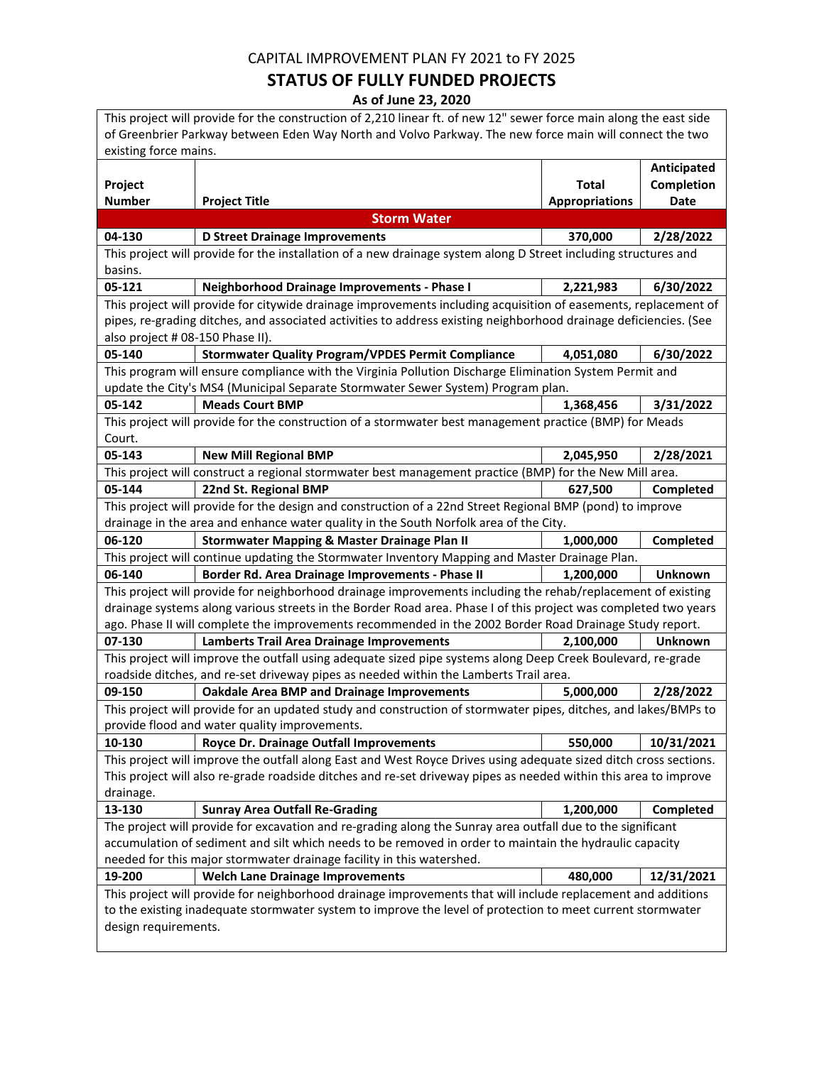## **STATUS OF FULLY FUNDED PROJECTS**

| This project will provide for the construction of 2,210 linear ft. of new 12" sewer force main along the east side |                                                                                                                   |                       |                |
|--------------------------------------------------------------------------------------------------------------------|-------------------------------------------------------------------------------------------------------------------|-----------------------|----------------|
| of Greenbrier Parkway between Eden Way North and Volvo Parkway. The new force main will connect the two            |                                                                                                                   |                       |                |
| existing force mains.                                                                                              |                                                                                                                   |                       |                |
|                                                                                                                    |                                                                                                                   |                       | Anticipated    |
| Project                                                                                                            |                                                                                                                   | <b>Total</b>          | Completion     |
| <b>Number</b>                                                                                                      | <b>Project Title</b>                                                                                              | <b>Appropriations</b> | Date           |
|                                                                                                                    | <b>Storm Water</b>                                                                                                |                       |                |
| 04-130                                                                                                             | <b>D Street Drainage Improvements</b>                                                                             | 370,000               | 2/28/2022      |
|                                                                                                                    | This project will provide for the installation of a new drainage system along D Street including structures and   |                       |                |
| basins.                                                                                                            |                                                                                                                   |                       |                |
| 05-121                                                                                                             | Neighborhood Drainage Improvements - Phase I                                                                      | 2,221,983             | 6/30/2022      |
|                                                                                                                    | This project will provide for citywide drainage improvements including acquisition of easements, replacement of   |                       |                |
|                                                                                                                    | pipes, re-grading ditches, and associated activities to address existing neighborhood drainage deficiencies. (See |                       |                |
| also project # 08-150 Phase II).                                                                                   |                                                                                                                   |                       |                |
| 05-140                                                                                                             | <b>Stormwater Quality Program/VPDES Permit Compliance</b>                                                         | 4,051,080             | 6/30/2022      |
|                                                                                                                    | This program will ensure compliance with the Virginia Pollution Discharge Elimination System Permit and           |                       |                |
|                                                                                                                    | update the City's MS4 (Municipal Separate Stormwater Sewer System) Program plan.                                  |                       |                |
| 05-142                                                                                                             | <b>Meads Court BMP</b>                                                                                            | 1,368,456             | 3/31/2022      |
|                                                                                                                    | This project will provide for the construction of a stormwater best management practice (BMP) for Meads           |                       |                |
| Court.                                                                                                             |                                                                                                                   |                       |                |
| 05-143                                                                                                             | <b>New Mill Regional BMP</b>                                                                                      | 2,045,950             | 2/28/2021      |
|                                                                                                                    | This project will construct a regional stormwater best management practice (BMP) for the New Mill area.           |                       |                |
| 05-144                                                                                                             | 22nd St. Regional BMP                                                                                             | 627,500               | Completed      |
|                                                                                                                    | This project will provide for the design and construction of a 22nd Street Regional BMP (pond) to improve         |                       |                |
|                                                                                                                    | drainage in the area and enhance water quality in the South Norfolk area of the City.                             |                       |                |
| 06-120                                                                                                             | <b>Stormwater Mapping &amp; Master Drainage Plan II</b>                                                           | 1,000,000             | Completed      |
|                                                                                                                    | This project will continue updating the Stormwater Inventory Mapping and Master Drainage Plan.                    |                       |                |
| 06-140                                                                                                             | Border Rd. Area Drainage Improvements - Phase II                                                                  | 1,200,000             | <b>Unknown</b> |
|                                                                                                                    | This project will provide for neighborhood drainage improvements including the rehab/replacement of existing      |                       |                |
|                                                                                                                    | drainage systems along various streets in the Border Road area. Phase I of this project was completed two years   |                       |                |
|                                                                                                                    | ago. Phase II will complete the improvements recommended in the 2002 Border Road Drainage Study report.           |                       |                |
| 07-130                                                                                                             | <b>Lamberts Trail Area Drainage Improvements</b>                                                                  | 2,100,000             | <b>Unknown</b> |
|                                                                                                                    | This project will improve the outfall using adequate sized pipe systems along Deep Creek Boulevard, re-grade      |                       |                |
|                                                                                                                    | roadside ditches, and re-set driveway pipes as needed within the Lamberts Trail area.                             |                       |                |
| 09-150                                                                                                             | <b>Oakdale Area BMP and Drainage Improvements</b>                                                                 | 5,000,000             | 2/28/2022      |
|                                                                                                                    | This project will provide for an updated study and construction of stormwater pipes, ditches, and lakes/BMPs to   |                       |                |
|                                                                                                                    | provide flood and water quality improvements.                                                                     |                       |                |
| 10-130                                                                                                             | Royce Dr. Drainage Outfall Improvements                                                                           | 550,000               | 10/31/2021     |
|                                                                                                                    | This project will improve the outfall along East and West Royce Drives using adequate sized ditch cross sections. |                       |                |
|                                                                                                                    | This project will also re-grade roadside ditches and re-set driveway pipes as needed within this area to improve  |                       |                |
| drainage.                                                                                                          |                                                                                                                   |                       |                |
| 13-130                                                                                                             | <b>Sunray Area Outfall Re-Grading</b>                                                                             | 1,200,000             | Completed      |
| The project will provide for excavation and re-grading along the Sunray area outfall due to the significant        |                                                                                                                   |                       |                |
| accumulation of sediment and silt which needs to be removed in order to maintain the hydraulic capacity            |                                                                                                                   |                       |                |
|                                                                                                                    | needed for this major stormwater drainage facility in this watershed.                                             |                       |                |
| 19-200                                                                                                             | <b>Welch Lane Drainage Improvements</b>                                                                           | 480,000               | 12/31/2021     |
| This project will provide for neighborhood drainage improvements that will include replacement and additions       |                                                                                                                   |                       |                |
| to the existing inadequate stormwater system to improve the level of protection to meet current stormwater         |                                                                                                                   |                       |                |
| design requirements.                                                                                               |                                                                                                                   |                       |                |
|                                                                                                                    |                                                                                                                   |                       |                |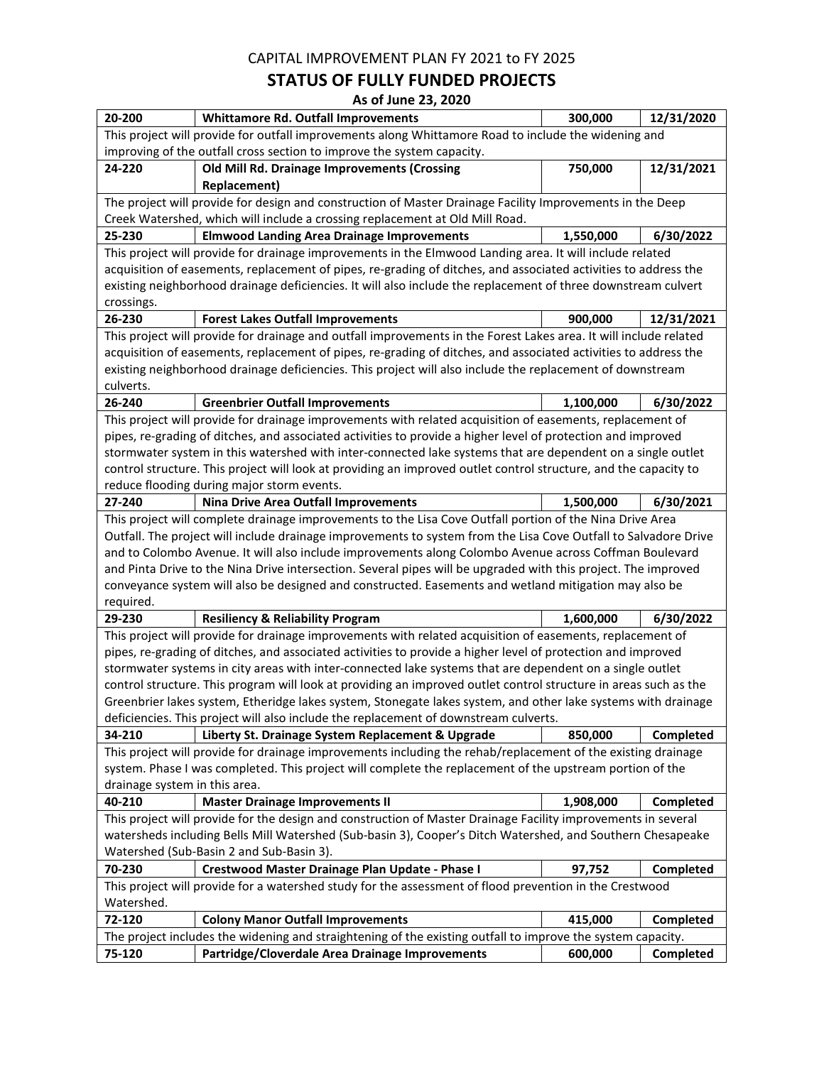#### **STATUS OF FULLY FUNDED PROJECTS**

| 20-200                                                                                                                                                 | <b>Whittamore Rd. Outfall Improvements</b>                                                                                                          | 300,000   | 12/31/2020 |  |
|--------------------------------------------------------------------------------------------------------------------------------------------------------|-----------------------------------------------------------------------------------------------------------------------------------------------------|-----------|------------|--|
|                                                                                                                                                        | This project will provide for outfall improvements along Whittamore Road to include the widening and                                                |           |            |  |
|                                                                                                                                                        | improving of the outfall cross section to improve the system capacity.                                                                              |           |            |  |
| 24-220                                                                                                                                                 | Old Mill Rd. Drainage Improvements (Crossing                                                                                                        | 750,000   | 12/31/2021 |  |
|                                                                                                                                                        | <b>Replacement)</b>                                                                                                                                 |           |            |  |
|                                                                                                                                                        | The project will provide for design and construction of Master Drainage Facility Improvements in the Deep                                           |           |            |  |
|                                                                                                                                                        | Creek Watershed, which will include a crossing replacement at Old Mill Road.                                                                        |           |            |  |
| 25-230                                                                                                                                                 | <b>Elmwood Landing Area Drainage Improvements</b>                                                                                                   | 1,550,000 | 6/30/2022  |  |
|                                                                                                                                                        | This project will provide for drainage improvements in the Elmwood Landing area. It will include related                                            |           |            |  |
|                                                                                                                                                        | acquisition of easements, replacement of pipes, re-grading of ditches, and associated activities to address the                                     |           |            |  |
|                                                                                                                                                        | existing neighborhood drainage deficiencies. It will also include the replacement of three downstream culvert                                       |           |            |  |
| crossings.                                                                                                                                             |                                                                                                                                                     |           |            |  |
| 26-230                                                                                                                                                 | <b>Forest Lakes Outfall Improvements</b>                                                                                                            | 900,000   | 12/31/2021 |  |
|                                                                                                                                                        | This project will provide for drainage and outfall improvements in the Forest Lakes area. It will include related                                   |           |            |  |
|                                                                                                                                                        | acquisition of easements, replacement of pipes, re-grading of ditches, and associated activities to address the                                     |           |            |  |
|                                                                                                                                                        | existing neighborhood drainage deficiencies. This project will also include the replacement of downstream                                           |           |            |  |
| culverts.<br>26-240                                                                                                                                    |                                                                                                                                                     |           |            |  |
|                                                                                                                                                        | <b>Greenbrier Outfall Improvements</b><br>This project will provide for drainage improvements with related acquisition of easements, replacement of | 1,100,000 | 6/30/2022  |  |
|                                                                                                                                                        | pipes, re-grading of ditches, and associated activities to provide a higher level of protection and improved                                        |           |            |  |
|                                                                                                                                                        | stormwater system in this watershed with inter-connected lake systems that are dependent on a single outlet                                         |           |            |  |
|                                                                                                                                                        | control structure. This project will look at providing an improved outlet control structure, and the capacity to                                    |           |            |  |
|                                                                                                                                                        | reduce flooding during major storm events.                                                                                                          |           |            |  |
| 27-240                                                                                                                                                 | <b>Nina Drive Area Outfall Improvements</b>                                                                                                         | 1,500,000 | 6/30/2021  |  |
|                                                                                                                                                        | This project will complete drainage improvements to the Lisa Cove Outfall portion of the Nina Drive Area                                            |           |            |  |
|                                                                                                                                                        | Outfall. The project will include drainage improvements to system from the Lisa Cove Outfall to Salvadore Drive                                     |           |            |  |
| and to Colombo Avenue. It will also include improvements along Colombo Avenue across Coffman Boulevard                                                 |                                                                                                                                                     |           |            |  |
| and Pinta Drive to the Nina Drive intersection. Several pipes will be upgraded with this project. The improved                                         |                                                                                                                                                     |           |            |  |
| conveyance system will also be designed and constructed. Easements and wetland mitigation may also be                                                  |                                                                                                                                                     |           |            |  |
| required.                                                                                                                                              |                                                                                                                                                     |           |            |  |
| 29-230                                                                                                                                                 | <b>Resiliency &amp; Reliability Program</b>                                                                                                         | 1,600,000 | 6/30/2022  |  |
|                                                                                                                                                        | This project will provide for drainage improvements with related acquisition of easements, replacement of                                           |           |            |  |
|                                                                                                                                                        | pipes, re-grading of ditches, and associated activities to provide a higher level of protection and improved                                        |           |            |  |
|                                                                                                                                                        | stormwater systems in city areas with inter-connected lake systems that are dependent on a single outlet                                            |           |            |  |
|                                                                                                                                                        | control structure. This program will look at providing an improved outlet control structure in areas such as the                                    |           |            |  |
|                                                                                                                                                        | Greenbrier lakes system, Etheridge lakes system, Stonegate lakes system, and other lake systems with drainage                                       |           |            |  |
|                                                                                                                                                        | deficiencies. This project will also include the replacement of downstream culverts.                                                                |           |            |  |
| 34-210                                                                                                                                                 | Liberty St. Drainage System Replacement & Upgrade                                                                                                   | 850,000   | Completed  |  |
|                                                                                                                                                        | This project will provide for drainage improvements including the rehab/replacement of the existing drainage                                        |           |            |  |
|                                                                                                                                                        | system. Phase I was completed. This project will complete the replacement of the upstream portion of the                                            |           |            |  |
| drainage system in this area.                                                                                                                          |                                                                                                                                                     |           |            |  |
| 40-210                                                                                                                                                 | <b>Master Drainage Improvements II</b>                                                                                                              | 1,908,000 | Completed  |  |
|                                                                                                                                                        | This project will provide for the design and construction of Master Drainage Facility improvements in several                                       |           |            |  |
| watersheds including Bells Mill Watershed (Sub-basin 3), Cooper's Ditch Watershed, and Southern Chesapeake<br>Watershed (Sub-Basin 2 and Sub-Basin 3). |                                                                                                                                                     |           |            |  |
|                                                                                                                                                        |                                                                                                                                                     |           |            |  |
| 70-230                                                                                                                                                 | Crestwood Master Drainage Plan Update - Phase I                                                                                                     | 97,752    | Completed  |  |
| This project will provide for a watershed study for the assessment of flood prevention in the Crestwood                                                |                                                                                                                                                     |           |            |  |
| Watershed.<br>72-120                                                                                                                                   | <b>Colony Manor Outfall Improvements</b>                                                                                                            | 415,000   | Completed  |  |
|                                                                                                                                                        | The project includes the widening and straightening of the existing outfall to improve the system capacity.                                         |           |            |  |
|                                                                                                                                                        |                                                                                                                                                     |           |            |  |
| 75-120                                                                                                                                                 | Partridge/Cloverdale Area Drainage Improvements                                                                                                     | 600,000   | Completed  |  |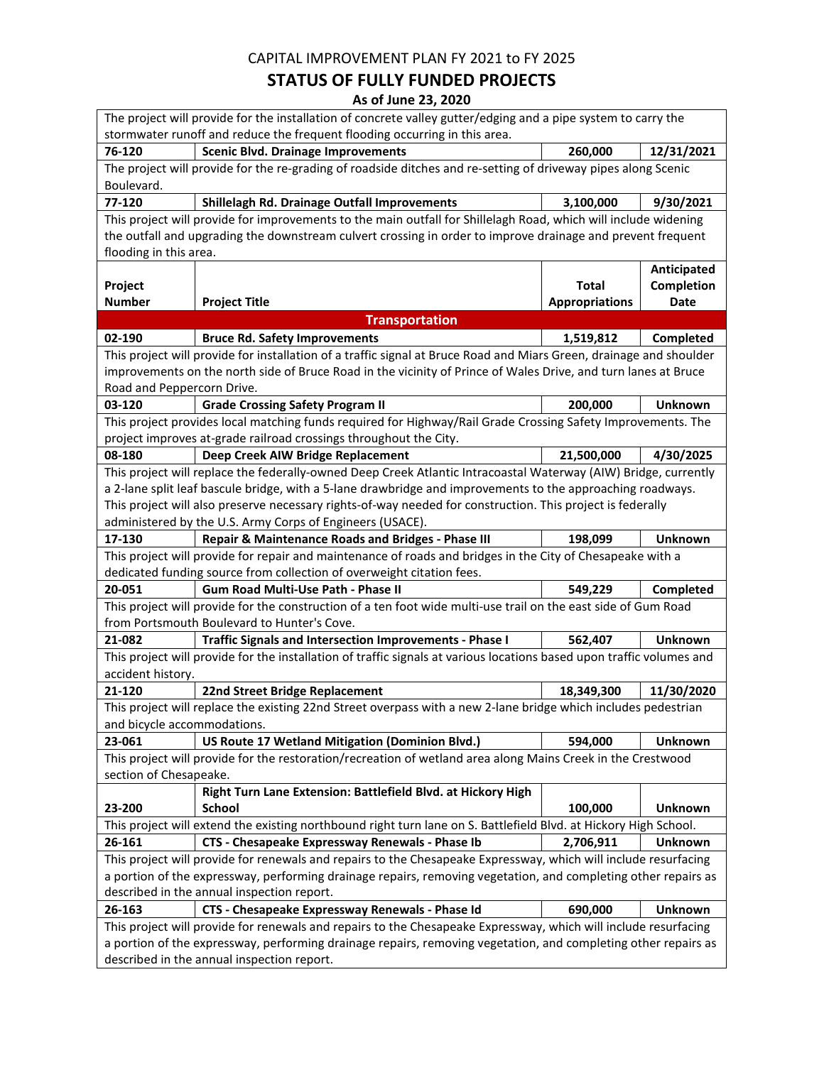### **STATUS OF FULLY FUNDED PROJECTS**

| The project will provide for the installation of concrete valley gutter/edging and a pipe system to carry the         |                                                                                                                                                                                                                                |                                       |                                   |  |
|-----------------------------------------------------------------------------------------------------------------------|--------------------------------------------------------------------------------------------------------------------------------------------------------------------------------------------------------------------------------|---------------------------------------|-----------------------------------|--|
| stormwater runoff and reduce the frequent flooding occurring in this area.                                            |                                                                                                                                                                                                                                |                                       |                                   |  |
| 76-120                                                                                                                | <b>Scenic Blvd. Drainage Improvements</b>                                                                                                                                                                                      | 260,000                               | 12/31/2021                        |  |
| Boulevard.                                                                                                            | The project will provide for the re-grading of roadside ditches and re-setting of driveway pipes along Scenic                                                                                                                  |                                       |                                   |  |
| 77-120                                                                                                                | Shillelagh Rd. Drainage Outfall Improvements                                                                                                                                                                                   | 3,100,000                             | 9/30/2021                         |  |
| flooding in this area.                                                                                                | This project will provide for improvements to the main outfall for Shillelagh Road, which will include widening<br>the outfall and upgrading the downstream culvert crossing in order to improve drainage and prevent frequent |                                       |                                   |  |
| Project<br><b>Number</b>                                                                                              | <b>Project Title</b>                                                                                                                                                                                                           | <b>Total</b><br><b>Appropriations</b> | Anticipated<br>Completion<br>Date |  |
|                                                                                                                       | <b>Transportation</b>                                                                                                                                                                                                          |                                       |                                   |  |
| 02-190                                                                                                                | <b>Bruce Rd. Safety Improvements</b>                                                                                                                                                                                           | 1,519,812                             | Completed                         |  |
|                                                                                                                       | This project will provide for installation of a traffic signal at Bruce Road and Miars Green, drainage and shoulder                                                                                                            |                                       |                                   |  |
|                                                                                                                       | improvements on the north side of Bruce Road in the vicinity of Prince of Wales Drive, and turn lanes at Bruce                                                                                                                 |                                       |                                   |  |
| Road and Peppercorn Drive.                                                                                            |                                                                                                                                                                                                                                |                                       |                                   |  |
| 03-120                                                                                                                | <b>Grade Crossing Safety Program II</b>                                                                                                                                                                                        | 200,000                               | <b>Unknown</b>                    |  |
|                                                                                                                       | This project provides local matching funds required for Highway/Rail Grade Crossing Safety Improvements. The                                                                                                                   |                                       |                                   |  |
|                                                                                                                       | project improves at-grade railroad crossings throughout the City.                                                                                                                                                              |                                       |                                   |  |
| 08-180                                                                                                                | Deep Creek AIW Bridge Replacement                                                                                                                                                                                              | 21,500,000                            | 4/30/2025                         |  |
|                                                                                                                       | This project will replace the federally-owned Deep Creek Atlantic Intracoastal Waterway (AIW) Bridge, currently                                                                                                                |                                       |                                   |  |
|                                                                                                                       | a 2-lane split leaf bascule bridge, with a 5-lane drawbridge and improvements to the approaching roadways.                                                                                                                     |                                       |                                   |  |
|                                                                                                                       | This project will also preserve necessary rights-of-way needed for construction. This project is federally                                                                                                                     |                                       |                                   |  |
|                                                                                                                       | administered by the U.S. Army Corps of Engineers (USACE).                                                                                                                                                                      |                                       |                                   |  |
| 17-130                                                                                                                | Repair & Maintenance Roads and Bridges - Phase III                                                                                                                                                                             | 198,099                               | <b>Unknown</b>                    |  |
| This project will provide for repair and maintenance of roads and bridges in the City of Chesapeake with a            |                                                                                                                                                                                                                                |                                       |                                   |  |
|                                                                                                                       | dedicated funding source from collection of overweight citation fees.                                                                                                                                                          |                                       |                                   |  |
| 20-051                                                                                                                | Gum Road Multi-Use Path - Phase II                                                                                                                                                                                             | 549,229                               | Completed                         |  |
|                                                                                                                       | This project will provide for the construction of a ten foot wide multi-use trail on the east side of Gum Road                                                                                                                 |                                       |                                   |  |
|                                                                                                                       | from Portsmouth Boulevard to Hunter's Cove.                                                                                                                                                                                    |                                       |                                   |  |
| 21-082                                                                                                                | <b>Traffic Signals and Intersection Improvements - Phase I</b>                                                                                                                                                                 | 562,407                               | <b>Unknown</b>                    |  |
| This project will provide for the installation of traffic signals at various locations based upon traffic volumes and |                                                                                                                                                                                                                                |                                       |                                   |  |
| accident history.                                                                                                     |                                                                                                                                                                                                                                |                                       |                                   |  |
| 21-120                                                                                                                | 22nd Street Bridge Replacement                                                                                                                                                                                                 | 18,349,300                            | 11/30/2020                        |  |
| and bicycle accommodations.                                                                                           | This project will replace the existing 22nd Street overpass with a new 2-lane bridge which includes pedestrian                                                                                                                 |                                       |                                   |  |
| 23-061                                                                                                                | US Route 17 Wetland Mitigation (Dominion Blvd.)                                                                                                                                                                                | 594,000                               | <b>Unknown</b>                    |  |
|                                                                                                                       | This project will provide for the restoration/recreation of wetland area along Mains Creek in the Crestwood                                                                                                                    |                                       |                                   |  |
| section of Chesapeake.                                                                                                |                                                                                                                                                                                                                                |                                       |                                   |  |
|                                                                                                                       | Right Turn Lane Extension: Battlefield Blvd. at Hickory High                                                                                                                                                                   |                                       |                                   |  |
| 23-200                                                                                                                | <b>School</b>                                                                                                                                                                                                                  | 100,000                               | <b>Unknown</b>                    |  |
|                                                                                                                       | This project will extend the existing northbound right turn lane on S. Battlefield Blvd. at Hickory High School.                                                                                                               |                                       |                                   |  |
| 26-161                                                                                                                | CTS - Chesapeake Expressway Renewals - Phase Ib                                                                                                                                                                                | 2,706,911                             | Unknown                           |  |
|                                                                                                                       | This project will provide for renewals and repairs to the Chesapeake Expressway, which will include resurfacing                                                                                                                |                                       |                                   |  |
|                                                                                                                       | a portion of the expressway, performing drainage repairs, removing vegetation, and completing other repairs as                                                                                                                 |                                       |                                   |  |
| described in the annual inspection report.                                                                            |                                                                                                                                                                                                                                |                                       |                                   |  |
| 26-163                                                                                                                | CTS - Chesapeake Expressway Renewals - Phase Id                                                                                                                                                                                | 690,000                               | <b>Unknown</b>                    |  |
|                                                                                                                       | This project will provide for renewals and repairs to the Chesapeake Expressway, which will include resurfacing                                                                                                                |                                       |                                   |  |
|                                                                                                                       | a portion of the expressway, performing drainage repairs, removing vegetation, and completing other repairs as                                                                                                                 |                                       |                                   |  |
|                                                                                                                       | described in the annual inspection report.                                                                                                                                                                                     |                                       |                                   |  |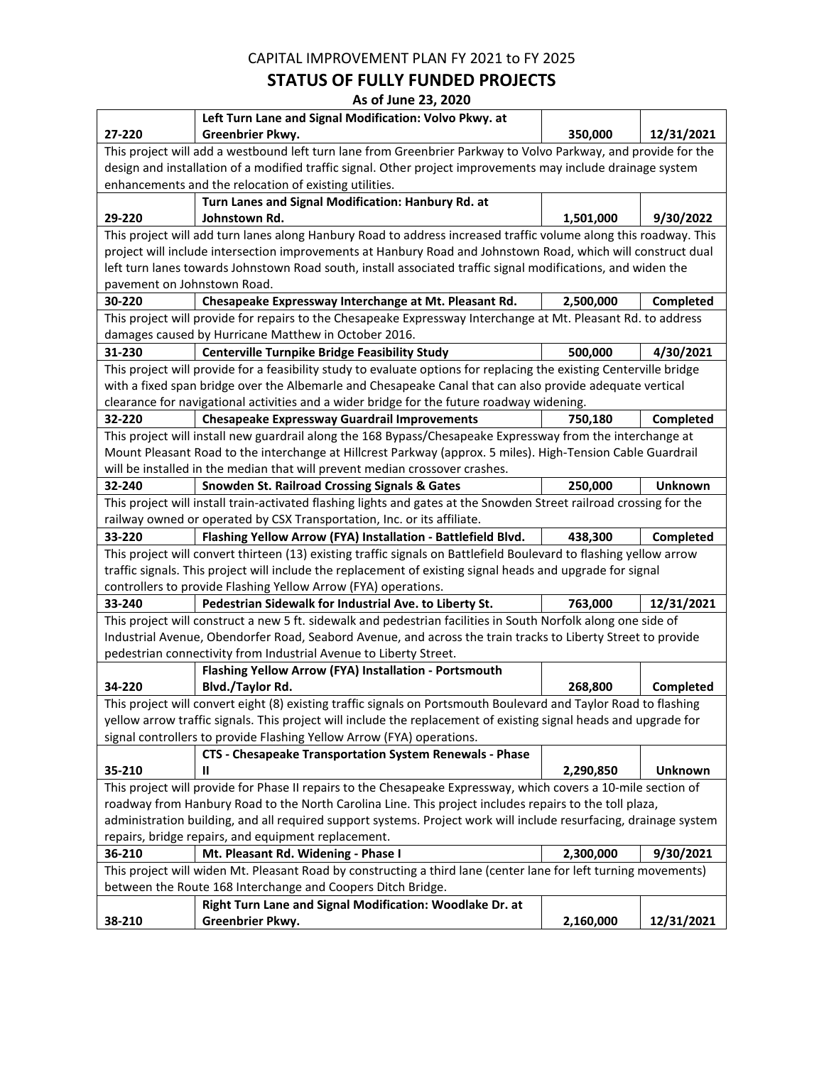### **STATUS OF FULLY FUNDED PROJECTS**

|                                                                                                                    | Left Turn Lane and Signal Modification: Volvo Pkwy. at                                                              |           |                |  |
|--------------------------------------------------------------------------------------------------------------------|---------------------------------------------------------------------------------------------------------------------|-----------|----------------|--|
| 27-220                                                                                                             | Greenbrier Pkwy.                                                                                                    | 350,000   | 12/31/2021     |  |
|                                                                                                                    | This project will add a westbound left turn lane from Greenbrier Parkway to Volvo Parkway, and provide for the      |           |                |  |
|                                                                                                                    | design and installation of a modified traffic signal. Other project improvements may include drainage system        |           |                |  |
|                                                                                                                    | enhancements and the relocation of existing utilities.                                                              |           |                |  |
|                                                                                                                    | Turn Lanes and Signal Modification: Hanbury Rd. at                                                                  |           |                |  |
| 29-220                                                                                                             | Johnstown Rd.                                                                                                       | 1,501,000 | 9/30/2022      |  |
|                                                                                                                    | This project will add turn lanes along Hanbury Road to address increased traffic volume along this roadway. This    |           |                |  |
|                                                                                                                    | project will include intersection improvements at Hanbury Road and Johnstown Road, which will construct dual        |           |                |  |
|                                                                                                                    | left turn lanes towards Johnstown Road south, install associated traffic signal modifications, and widen the        |           |                |  |
| pavement on Johnstown Road.                                                                                        |                                                                                                                     |           |                |  |
| 30-220                                                                                                             | Chesapeake Expressway Interchange at Mt. Pleasant Rd.                                                               | 2,500,000 | Completed      |  |
|                                                                                                                    | This project will provide for repairs to the Chesapeake Expressway Interchange at Mt. Pleasant Rd. to address       |           |                |  |
|                                                                                                                    | damages caused by Hurricane Matthew in October 2016.                                                                |           |                |  |
| 31-230                                                                                                             | <b>Centerville Turnpike Bridge Feasibility Study</b>                                                                | 500,000   | 4/30/2021      |  |
|                                                                                                                    | This project will provide for a feasibility study to evaluate options for replacing the existing Centerville bridge |           |                |  |
|                                                                                                                    | with a fixed span bridge over the Albemarle and Chesapeake Canal that can also provide adequate vertical            |           |                |  |
|                                                                                                                    | clearance for navigational activities and a wider bridge for the future roadway widening.                           |           |                |  |
| 32-220                                                                                                             | <b>Chesapeake Expressway Guardrail Improvements</b>                                                                 | 750,180   | Completed      |  |
|                                                                                                                    | This project will install new guardrail along the 168 Bypass/Chesapeake Expressway from the interchange at          |           |                |  |
|                                                                                                                    | Mount Pleasant Road to the interchange at Hillcrest Parkway (approx. 5 miles). High-Tension Cable Guardrail         |           |                |  |
|                                                                                                                    | will be installed in the median that will prevent median crossover crashes.                                         |           |                |  |
| 32-240                                                                                                             | <b>Snowden St. Railroad Crossing Signals &amp; Gates</b>                                                            | 250,000   | <b>Unknown</b> |  |
|                                                                                                                    | This project will install train-activated flashing lights and gates at the Snowden Street railroad crossing for the |           |                |  |
|                                                                                                                    | railway owned or operated by CSX Transportation, Inc. or its affiliate.                                             |           |                |  |
| 33-220                                                                                                             | Flashing Yellow Arrow (FYA) Installation - Battlefield Blvd.                                                        | 438,300   | Completed      |  |
| This project will convert thirteen (13) existing traffic signals on Battlefield Boulevard to flashing yellow arrow |                                                                                                                     |           |                |  |
|                                                                                                                    | traffic signals. This project will include the replacement of existing signal heads and upgrade for signal          |           |                |  |
|                                                                                                                    | controllers to provide Flashing Yellow Arrow (FYA) operations.                                                      |           |                |  |
| 33-240                                                                                                             | Pedestrian Sidewalk for Industrial Ave. to Liberty St.                                                              | 763,000   | 12/31/2021     |  |
|                                                                                                                    | This project will construct a new 5 ft. sidewalk and pedestrian facilities in South Norfolk along one side of       |           |                |  |
|                                                                                                                    | Industrial Avenue, Obendorfer Road, Seabord Avenue, and across the train tracks to Liberty Street to provide        |           |                |  |
|                                                                                                                    | pedestrian connectivity from Industrial Avenue to Liberty Street.                                                   |           |                |  |
| 34-220                                                                                                             | Flashing Yellow Arrow (FYA) Installation - Portsmouth<br>Blvd./Taylor Rd.                                           | 268,800   |                |  |
|                                                                                                                    | This project will convert eight (8) existing traffic signals on Portsmouth Boulevard and Taylor Road to flashing    |           | Completed      |  |
|                                                                                                                    | yellow arrow traffic signals. This project will include the replacement of existing signal heads and upgrade for    |           |                |  |
|                                                                                                                    | signal controllers to provide Flashing Yellow Arrow (FYA) operations.                                               |           |                |  |
|                                                                                                                    | CTS - Chesapeake Transportation System Renewals - Phase                                                             |           |                |  |
| 35-210                                                                                                             | Ш                                                                                                                   | 2,290,850 | <b>Unknown</b> |  |
|                                                                                                                    | This project will provide for Phase II repairs to the Chesapeake Expressway, which covers a 10-mile section of      |           |                |  |
|                                                                                                                    | roadway from Hanbury Road to the North Carolina Line. This project includes repairs to the toll plaza,              |           |                |  |
| administration building, and all required support systems. Project work will include resurfacing, drainage system  |                                                                                                                     |           |                |  |
| repairs, bridge repairs, and equipment replacement.                                                                |                                                                                                                     |           |                |  |
| 36-210                                                                                                             | Mt. Pleasant Rd. Widening - Phase I                                                                                 | 2,300,000 | 9/30/2021      |  |
|                                                                                                                    | This project will widen Mt. Pleasant Road by constructing a third lane (center lane for left turning movements)     |           |                |  |
| between the Route 168 Interchange and Coopers Ditch Bridge.                                                        |                                                                                                                     |           |                |  |
| Right Turn Lane and Signal Modification: Woodlake Dr. at                                                           |                                                                                                                     |           |                |  |
| 38-210                                                                                                             | Greenbrier Pkwy.                                                                                                    | 2,160,000 | 12/31/2021     |  |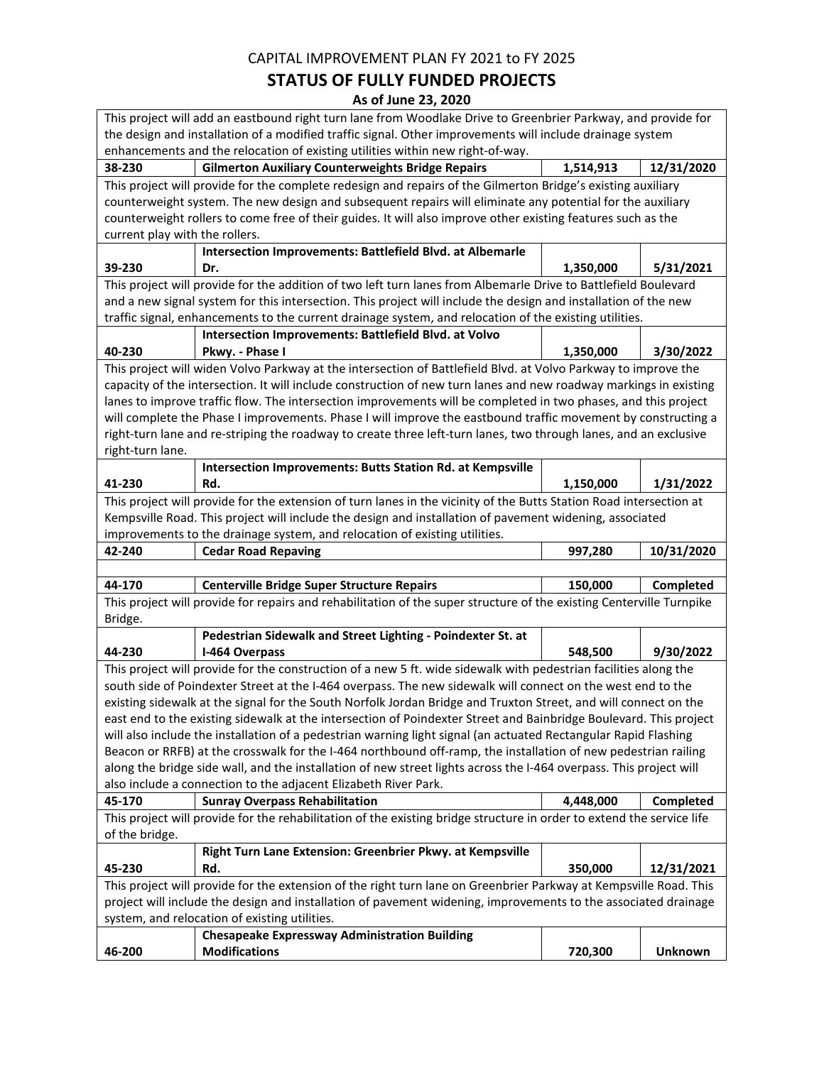## **STATUS OF FULLY FUNDED PROJECTS**

|                                                                                                                      | This project will add an eastbound right turn lane from Woodlake Drive to Greenbrier Parkway, and provide for         |           |                |  |
|----------------------------------------------------------------------------------------------------------------------|-----------------------------------------------------------------------------------------------------------------------|-----------|----------------|--|
| the design and installation of a modified traffic signal. Other improvements will include drainage system            |                                                                                                                       |           |                |  |
|                                                                                                                      | enhancements and the relocation of existing utilities within new right-of-way.                                        |           |                |  |
| 38-230                                                                                                               | <b>Gilmerton Auxiliary Counterweights Bridge Repairs</b>                                                              | 1,514,913 | 12/31/2020     |  |
|                                                                                                                      | This project will provide for the complete redesign and repairs of the Gilmerton Bridge's existing auxiliary          |           |                |  |
|                                                                                                                      | counterweight system. The new design and subsequent repairs will eliminate any potential for the auxiliary            |           |                |  |
|                                                                                                                      | counterweight rollers to come free of their guides. It will also improve other existing features such as the          |           |                |  |
| current play with the rollers.                                                                                       |                                                                                                                       |           |                |  |
|                                                                                                                      | Intersection Improvements: Battlefield Blvd. at Albemarle                                                             |           |                |  |
| 39-230                                                                                                               | Dr.                                                                                                                   | 1,350,000 | 5/31/2021      |  |
|                                                                                                                      | This project will provide for the addition of two left turn lanes from Albemarle Drive to Battlefield Boulevard       |           |                |  |
|                                                                                                                      | and a new signal system for this intersection. This project will include the design and installation of the new       |           |                |  |
|                                                                                                                      | traffic signal, enhancements to the current drainage system, and relocation of the existing utilities.                |           |                |  |
|                                                                                                                      | Intersection Improvements: Battlefield Blvd. at Volvo                                                                 |           |                |  |
| 40-230                                                                                                               | Pkwy. - Phase I                                                                                                       | 1,350,000 | 3/30/2022      |  |
|                                                                                                                      | This project will widen Volvo Parkway at the intersection of Battlefield Blvd. at Volvo Parkway to improve the        |           |                |  |
|                                                                                                                      | capacity of the intersection. It will include construction of new turn lanes and new roadway markings in existing     |           |                |  |
|                                                                                                                      | lanes to improve traffic flow. The intersection improvements will be completed in two phases, and this project        |           |                |  |
|                                                                                                                      | will complete the Phase I improvements. Phase I will improve the eastbound traffic movement by constructing a         |           |                |  |
|                                                                                                                      | right-turn lane and re-striping the roadway to create three left-turn lanes, two through lanes, and an exclusive      |           |                |  |
| right-turn lane.                                                                                                     |                                                                                                                       |           |                |  |
|                                                                                                                      | <b>Intersection Improvements: Butts Station Rd. at Kempsville</b>                                                     |           |                |  |
| 41-230                                                                                                               | Rd.                                                                                                                   | 1,150,000 | 1/31/2022      |  |
|                                                                                                                      | This project will provide for the extension of turn lanes in the vicinity of the Butts Station Road intersection at   |           |                |  |
|                                                                                                                      | Kempsville Road. This project will include the design and installation of pavement widening, associated               |           |                |  |
|                                                                                                                      | improvements to the drainage system, and relocation of existing utilities.                                            |           |                |  |
| 42-240                                                                                                               | <b>Cedar Road Repaving</b>                                                                                            | 997,280   | 10/31/2020     |  |
|                                                                                                                      |                                                                                                                       |           |                |  |
| 44-170                                                                                                               | <b>Centerville Bridge Super Structure Repairs</b>                                                                     | 150,000   | Completed      |  |
| This project will provide for repairs and rehabilitation of the super structure of the existing Centerville Turnpike |                                                                                                                       |           |                |  |
| Bridge.                                                                                                              |                                                                                                                       |           |                |  |
|                                                                                                                      | Pedestrian Sidewalk and Street Lighting - Poindexter St. at                                                           |           |                |  |
| 44-230                                                                                                               | I-464 Overpass                                                                                                        | 548,500   | 9/30/2022      |  |
|                                                                                                                      | This project will provide for the construction of a new 5 ft. wide sidewalk with pedestrian facilities along the      |           |                |  |
|                                                                                                                      | south side of Poindexter Street at the I-464 overpass. The new sidewalk will connect on the west end to the           |           |                |  |
|                                                                                                                      | existing sidewalk at the signal for the South Norfolk Jordan Bridge and Truxton Street, and will connect on the       |           |                |  |
|                                                                                                                      | east end to the existing sidewalk at the intersection of Poindexter Street and Bainbridge Boulevard. This project     |           |                |  |
|                                                                                                                      | will also include the installation of a pedestrian warning light signal (an actuated Rectangular Rapid Flashing       |           |                |  |
|                                                                                                                      | Beacon or RRFB) at the crosswalk for the I-464 northbound off-ramp, the installation of new pedestrian railing        |           |                |  |
|                                                                                                                      | along the bridge side wall, and the installation of new street lights across the I-464 overpass. This project will    |           |                |  |
|                                                                                                                      | also include a connection to the adjacent Elizabeth River Park.                                                       |           |                |  |
| 45-170                                                                                                               | <b>Sunray Overpass Rehabilitation</b>                                                                                 | 4,448,000 | Completed      |  |
|                                                                                                                      | This project will provide for the rehabilitation of the existing bridge structure in order to extend the service life |           |                |  |
| of the bridge.                                                                                                       |                                                                                                                       |           |                |  |
|                                                                                                                      | Right Turn Lane Extension: Greenbrier Pkwy. at Kempsville                                                             |           |                |  |
| 45-230                                                                                                               | Rd.                                                                                                                   | 350,000   | 12/31/2021     |  |
|                                                                                                                      | This project will provide for the extension of the right turn lane on Greenbrier Parkway at Kempsville Road. This     |           |                |  |
| project will include the design and installation of pavement widening, improvements to the associated drainage       |                                                                                                                       |           |                |  |
| system, and relocation of existing utilities.                                                                        |                                                                                                                       |           |                |  |
|                                                                                                                      | <b>Chesapeake Expressway Administration Building</b>                                                                  |           |                |  |
| 46-200                                                                                                               | <b>Modifications</b>                                                                                                  | 720,300   | <b>Unknown</b> |  |